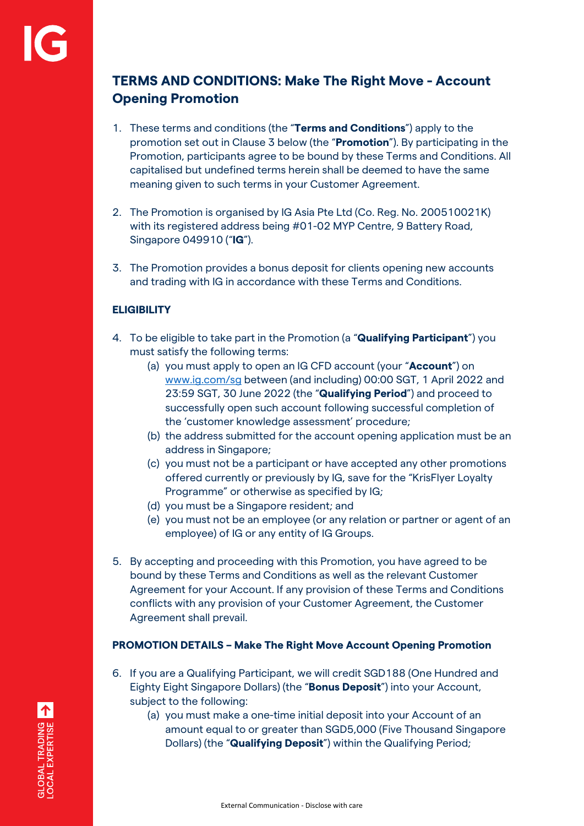# **TERMS AND CONDITIONS: Make The Right Move - Account Opening Promotion**

- 1. These terms and conditions (the "**Terms and Conditions**") apply to the promotion set out in Clause 3 below (the "**Promotion**"). By participating in the Promotion, participants agree to be bound by these Terms and Conditions. All capitalised but undefined terms herein shall be deemed to have the same meaning given to such terms in your Customer Agreement.
- 2. The Promotion is organised by IG Asia Pte Ltd (Co. Reg. No. 200510021K) with its registered address being #01-02 MYP Centre, 9 Battery Road, Singapore 049910 ("**IG**").
- 3. The Promotion provides a bonus deposit for clients opening new accounts and trading with IG in accordance with these Terms and Conditions.

# **ELIGIBILITY**

- 4. To be eligible to take part in the Promotion (a "**Qualifying Participant**") you must satisfy the following terms:
	- (a) you must apply to open an IG CFD account (your "**Account**") on [www.ig.com/sg](http://www.ig.com/sg) between (and including) 00:00 SGT, 1 April 2022 and 23:59 SGT, 30 June 2022 (the "**Qualifying Period**") and proceed to successfully open such account following successful completion of the 'customer knowledge assessment' procedure;
	- (b) the address submitted for the account opening application must be an address in Singapore;
	- (c) you must not be a participant or have accepted any other promotions offered currently or previously by IG, save for the "KrisFlyer Loyalty Programme" or otherwise as specified by IG;
	- (d) you must be a Singapore resident; and
	- (e) you must not be an employee (or any relation or partner or agent of an employee) of IG or any entity of IG Groups.
- 5. By accepting and proceeding with this Promotion, you have agreed to be bound by these Terms and Conditions as well as the relevant Customer Agreement for your Account. If any provision of these Terms and Conditions conflicts with any provision of your Customer Agreement, the Customer Agreement shall prevail.

## **PROMOTION DETAILS – Make The Right Move Account Opening Promotion**

- 6. If you are a Qualifying Participant, we will credit SGD188 (One Hundred and Eighty Eight Singapore Dollars) (the "**Bonus Deposit**") into your Account, subject to the following:
	- (a) you must make a one-time initial deposit into your Account of an amount equal to or greater than SGD5,000 (Five Thousand Singapore Dollars) (the "**Qualifying Deposit**") within the Qualifying Period;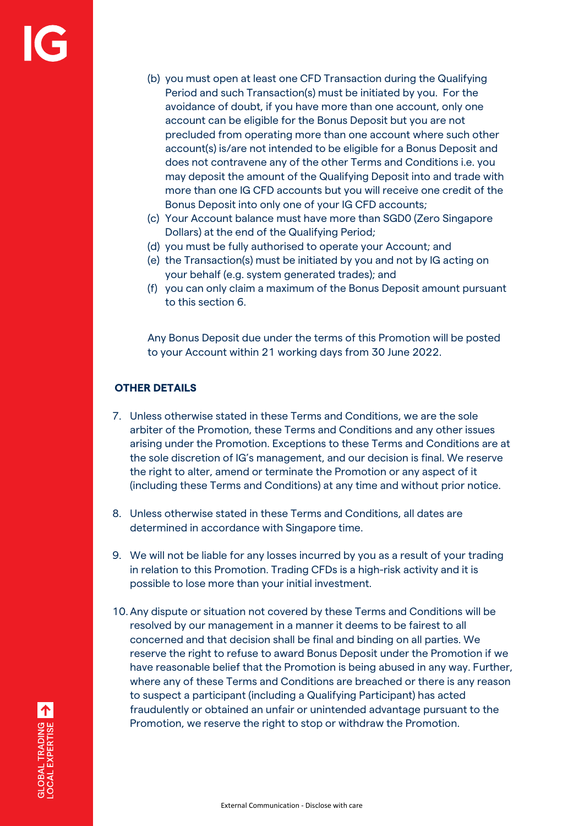- (b) you must open at least one CFD Transaction during the Qualifying Period and such Transaction(s) must be initiated by you. For the avoidance of doubt, if you have more than one account, only one account can be eligible for the Bonus Deposit but you are not precluded from operating more than one account where such other account(s) is/are not intended to be eligible for a Bonus Deposit and does not contravene any of the other Terms and Conditions i.e. you may deposit the amount of the Qualifying Deposit into and trade with more than one IG CFD accounts but you will receive one credit of the Bonus Deposit into only one of your IG CFD accounts;
- (c) Your Account balance must have more than SGD0 (Zero Singapore Dollars) at the end of the Qualifying Period;
- (d) you must be fully authorised to operate your Account; and
- (e) the Transaction(s) must be initiated by you and not by IG acting on your behalf (e.g. system generated trades); and
- (f) you can only claim a maximum of the Bonus Deposit amount pursuant to this section 6.

Any Bonus Deposit due under the terms of this Promotion will be posted to your Account within 21 working days from 30 June 2022.

# **OTHER DETAILS**

- 7. Unless otherwise stated in these Terms and Conditions, we are the sole arbiter of the Promotion, these Terms and Conditions and any other issues arising under the Promotion. Exceptions to these Terms and Conditions are at the sole discretion of IG's management, and our decision is final. We reserve the right to alter, amend or terminate the Promotion or any aspect of it (including these Terms and Conditions) at any time and without prior notice.
- 8. Unless otherwise stated in these Terms and Conditions, all dates are determined in accordance with Singapore time.
- 9. We will not be liable for any losses incurred by you as a result of your trading in relation to this Promotion. Trading CFDs is a high-risk activity and it is possible to lose more than your initial investment.
- 10.Any dispute or situation not covered by these Terms and Conditions will be resolved by our management in a manner it deems to be fairest to all concerned and that decision shall be final and binding on all parties. We reserve the right to refuse to award Bonus Deposit under the Promotion if we have reasonable belief that the Promotion is being abused in any way. Further, where any of these Terms and Conditions are breached or there is any reason to suspect a participant (including a Qualifying Participant) has acted fraudulently or obtained an unfair or unintended advantage pursuant to the Promotion, we reserve the right to stop or withdraw the Promotion.